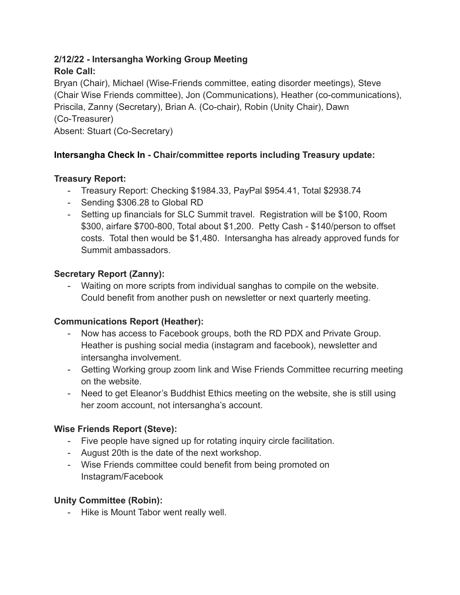### **2/12/22 - Intersangha Working Group Meeting Role Call:**

Bryan (Chair), Michael (Wise-Friends committee, eating disorder meetings), Steve (Chair Wise Friends committee), Jon (Communications), Heather (co-communications), Priscila, Zanny (Secretary), Brian A. (Co-chair), Robin (Unity Chair), Dawn (Co-Treasurer) Absent: Stuart (Co-Secretary)

# **Intersangha Check In - Chair/committee reports including Treasury update:**

## **Treasury Report:**

- Treasury Report: Checking \$1984.33, PayPal \$954.41, Total \$2938.74
- Sending \$306.28 to Global RD
- Setting up financials for SLC Summit travel. Registration will be \$100, Room \$300, airfare \$700-800, Total about \$1,200. Petty Cash - \$140/person to offset costs. Total then would be \$1,480. Intersangha has already approved funds for Summit ambassadors.

## **Secretary Report (Zanny):**

- Waiting on more scripts from individual sanghas to compile on the website. Could benefit from another push on newsletter or next quarterly meeting.

## **Communications Report (Heather):**

- Now has access to Facebook groups, both the RD PDX and Private Group. Heather is pushing social media (instagram and facebook), newsletter and intersangha involvement.
- Getting Working group zoom link and Wise Friends Committee recurring meeting on the website.
- Need to get Eleanor's Buddhist Ethics meeting on the website, she is still using her zoom account, not intersangha's account.

## **Wise Friends Report (Steve):**

- Five people have signed up for rotating inquiry circle facilitation.
- August 20th is the date of the next workshop.
- Wise Friends committee could benefit from being promoted on Instagram/Facebook

## **Unity Committee (Robin):**

- Hike is Mount Tabor went really well.